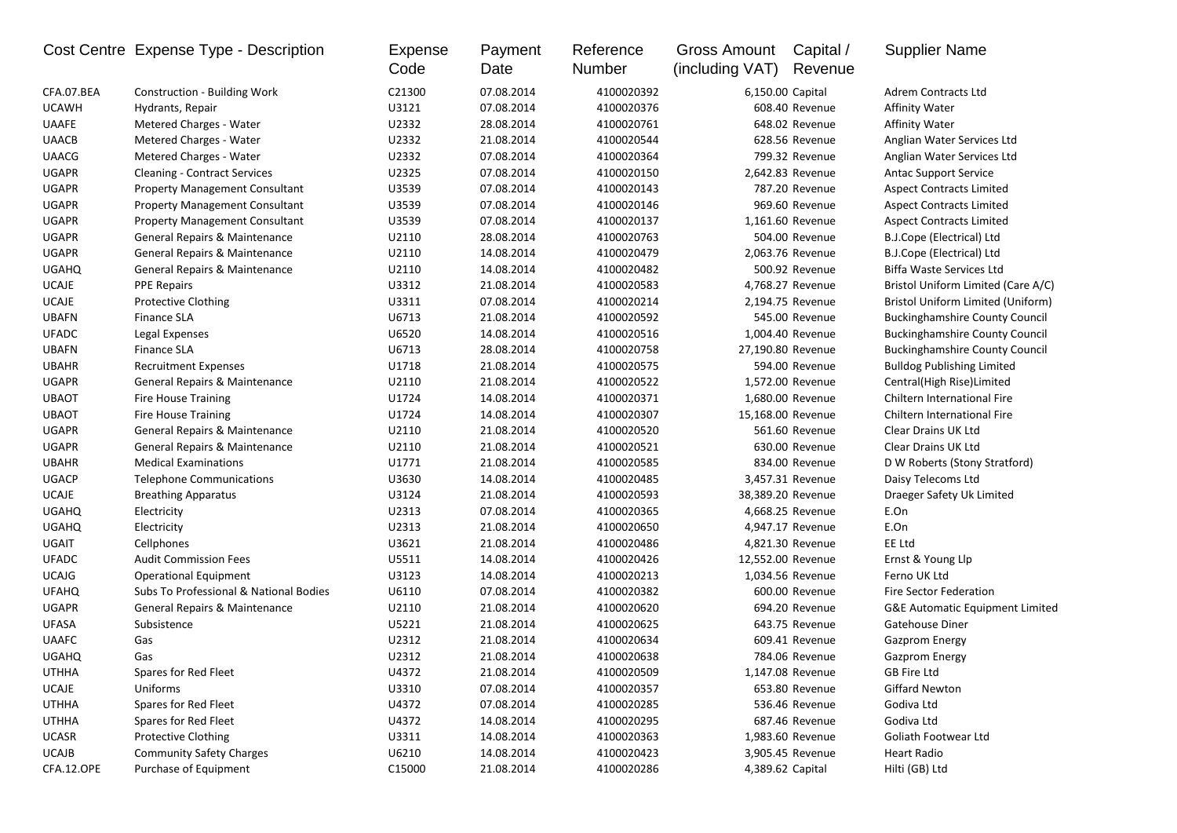|              | Cost Centre Expense Type - Description   | Expense<br>Code | Payment<br>Date | Reference<br>Number | Gross Amount<br>(including VAT) | Capital /<br>Revenue | <b>Supplier Name</b>                       |
|--------------|------------------------------------------|-----------------|-----------------|---------------------|---------------------------------|----------------------|--------------------------------------------|
| CFA.07.BEA   | <b>Construction - Building Work</b>      | C21300          | 07.08.2014      | 4100020392          |                                 | 6,150.00 Capital     | Adrem Contracts Ltd                        |
| <b>UCAWH</b> | Hydrants, Repair                         | U3121           | 07.08.2014      | 4100020376          |                                 | 608.40 Revenue       | <b>Affinity Water</b>                      |
| <b>UAAFE</b> | Metered Charges - Water                  | U2332           | 28.08.2014      | 4100020761          |                                 | 648.02 Revenue       | Affinity Water                             |
| <b>UAACB</b> | Metered Charges - Water                  | U2332           | 21.08.2014      | 4100020544          |                                 | 628.56 Revenue       | Anglian Water Services Ltd                 |
| <b>UAACG</b> | Metered Charges - Water                  | U2332           | 07.08.2014      | 4100020364          |                                 | 799.32 Revenue       | Anglian Water Services Ltd                 |
| <b>UGAPR</b> | <b>Cleaning - Contract Services</b>      | U2325           | 07.08.2014      | 4100020150          |                                 | 2,642.83 Revenue     | <b>Antac Support Service</b>               |
| <b>UGAPR</b> | <b>Property Management Consultant</b>    | U3539           | 07.08.2014      | 4100020143          |                                 | 787.20 Revenue       | <b>Aspect Contracts Limited</b>            |
| <b>UGAPR</b> | <b>Property Management Consultant</b>    | U3539           | 07.08.2014      | 4100020146          |                                 | 969.60 Revenue       | <b>Aspect Contracts Limited</b>            |
| <b>UGAPR</b> | <b>Property Management Consultant</b>    | U3539           | 07.08.2014      | 4100020137          |                                 | 1,161.60 Revenue     | <b>Aspect Contracts Limited</b>            |
| <b>UGAPR</b> | <b>General Repairs &amp; Maintenance</b> | U2110           | 28.08.2014      | 4100020763          |                                 | 504.00 Revenue       | B.J.Cope (Electrical) Ltd                  |
| <b>UGAPR</b> | General Repairs & Maintenance            | U2110           | 14.08.2014      | 4100020479          |                                 | 2,063.76 Revenue     | B.J.Cope (Electrical) Ltd                  |
| <b>UGAHQ</b> | General Repairs & Maintenance            | U2110           | 14.08.2014      | 4100020482          |                                 | 500.92 Revenue       | Biffa Waste Services Ltd                   |
| <b>UCAJE</b> | <b>PPE Repairs</b>                       | U3312           | 21.08.2014      | 4100020583          |                                 | 4,768.27 Revenue     | Bristol Uniform Limited (Care A/C)         |
| <b>UCAJE</b> | <b>Protective Clothing</b>               | U3311           | 07.08.2014      | 4100020214          |                                 | 2,194.75 Revenue     | Bristol Uniform Limited (Uniform)          |
| <b>UBAFN</b> | <b>Finance SLA</b>                       | U6713           | 21.08.2014      | 4100020592          |                                 | 545.00 Revenue       | <b>Buckinghamshire County Council</b>      |
| <b>UFADC</b> | Legal Expenses                           | U6520           | 14.08.2014      | 4100020516          |                                 | 1,004.40 Revenue     | <b>Buckinghamshire County Council</b>      |
| <b>UBAFN</b> | <b>Finance SLA</b>                       | U6713           | 28.08.2014      | 4100020758          |                                 | 27,190.80 Revenue    | <b>Buckinghamshire County Council</b>      |
| <b>UBAHR</b> | <b>Recruitment Expenses</b>              | U1718           | 21.08.2014      | 4100020575          |                                 | 594.00 Revenue       | <b>Bulldog Publishing Limited</b>          |
| <b>UGAPR</b> | General Repairs & Maintenance            | U2110           | 21.08.2014      | 4100020522          |                                 | 1,572.00 Revenue     | Central(High Rise)Limited                  |
| <b>UBAOT</b> | Fire House Training                      | U1724           | 14.08.2014      | 4100020371          |                                 | 1,680.00 Revenue     | <b>Chiltern International Fire</b>         |
| <b>UBAOT</b> | Fire House Training                      | U1724           | 14.08.2014      | 4100020307          |                                 | 15,168.00 Revenue    | Chiltern International Fire                |
| <b>UGAPR</b> | General Repairs & Maintenance            | U2110           | 21.08.2014      | 4100020520          |                                 | 561.60 Revenue       | Clear Drains UK Ltd                        |
| <b>UGAPR</b> | <b>General Repairs &amp; Maintenance</b> | U2110           | 21.08.2014      | 4100020521          |                                 | 630.00 Revenue       | Clear Drains UK Ltd                        |
| <b>UBAHR</b> | <b>Medical Examinations</b>              | U1771           | 21.08.2014      | 4100020585          |                                 | 834.00 Revenue       | D W Roberts (Stony Stratford)              |
| <b>UGACP</b> | <b>Telephone Communications</b>          | U3630           | 14.08.2014      | 4100020485          |                                 | 3,457.31 Revenue     | Daisy Telecoms Ltd                         |
| <b>UCAJE</b> | <b>Breathing Apparatus</b>               | U3124           | 21.08.2014      | 4100020593          |                                 | 38,389.20 Revenue    | Draeger Safety Uk Limited                  |
| <b>UGAHQ</b> | Electricity                              | U2313           | 07.08.2014      | 4100020365          |                                 | 4,668.25 Revenue     | E.On                                       |
| <b>UGAHQ</b> | Electricity                              | U2313           | 21.08.2014      | 4100020650          |                                 | 4,947.17 Revenue     | E.On                                       |
| UGAIT        | Cellphones                               | U3621           | 21.08.2014      | 4100020486          |                                 | 4,821.30 Revenue     | EE Ltd                                     |
| <b>UFADC</b> | <b>Audit Commission Fees</b>             | U5511           | 14.08.2014      | 4100020426          |                                 | 12,552.00 Revenue    | Ernst & Young Llp                          |
| <b>UCAJG</b> | <b>Operational Equipment</b>             | U3123           | 14.08.2014      | 4100020213          |                                 | 1,034.56 Revenue     | Ferno UK Ltd                               |
| <b>UFAHQ</b> | Subs To Professional & National Bodies   | U6110           | 07.08.2014      | 4100020382          |                                 | 600.00 Revenue       | <b>Fire Sector Federation</b>              |
| <b>UGAPR</b> | General Repairs & Maintenance            | U2110           | 21.08.2014      | 4100020620          |                                 | 694.20 Revenue       | <b>G&amp;E Automatic Equipment Limited</b> |
| <b>UFASA</b> | Subsistence                              | U5221           | 21.08.2014      | 4100020625          |                                 | 643.75 Revenue       | Gatehouse Diner                            |
| <b>UAAFC</b> | Gas                                      | U2312           | 21.08.2014      | 4100020634          |                                 | 609.41 Revenue       | <b>Gazprom Energy</b>                      |
| <b>UGAHQ</b> | Gas                                      | U2312           | 21.08.2014      | 4100020638          |                                 | 784.06 Revenue       | <b>Gazprom Energy</b>                      |
| <b>UTHHA</b> | Spares for Red Fleet                     | U4372           | 21.08.2014      | 4100020509          |                                 | 1,147.08 Revenue     | GB Fire Ltd                                |
| <b>UCAJE</b> | Uniforms                                 | U3310           | 07.08.2014      | 4100020357          |                                 | 653.80 Revenue       | Giffard Newton                             |
| <b>UTHHA</b> | Spares for Red Fleet                     | U4372           | 07.08.2014      | 4100020285          |                                 | 536.46 Revenue       | Godiva Ltd                                 |
| <b>UTHHA</b> | Spares for Red Fleet                     | U4372           | 14.08.2014      | 4100020295          |                                 | 687.46 Revenue       | Godiva Ltd                                 |
| <b>UCASR</b> | <b>Protective Clothing</b>               | U3311           | 14.08.2014      | 4100020363          |                                 | 1,983.60 Revenue     | Goliath Footwear Ltd                       |
| UCAJB        | <b>Community Safety Charges</b>          | U6210           | 14.08.2014      | 4100020423          |                                 | 3,905.45 Revenue     | <b>Heart Radio</b>                         |
| CFA.12.OPE   | Purchase of Equipment                    | C15000          | 21.08.2014      | 4100020286          |                                 | 4,389.62 Capital     | Hilti (GB) Ltd                             |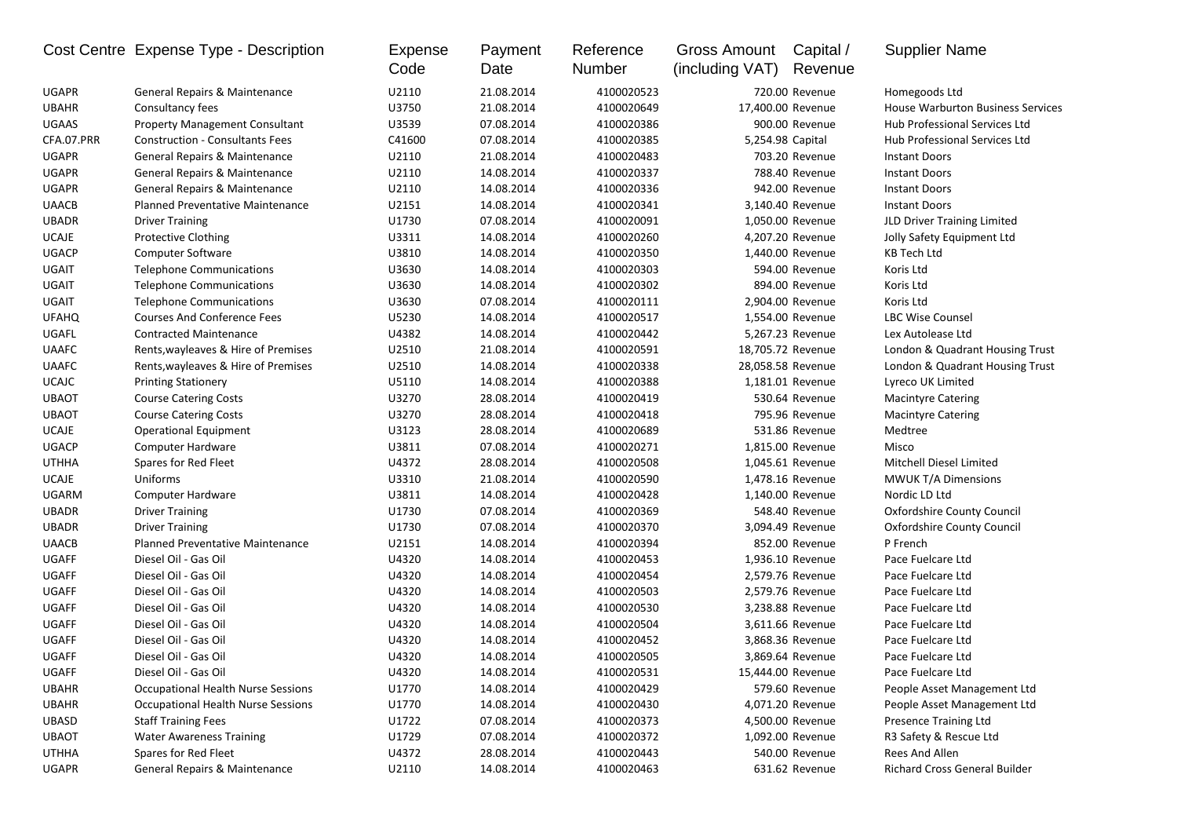|              | Cost Centre Expense Type - Description    | <b>Expense</b><br>Code | Payment<br>Date | Reference<br>Number | <b>Gross Amount</b><br>(including VAT) | Capital /<br>Revenue | <b>Supplier Name</b>                     |
|--------------|-------------------------------------------|------------------------|-----------------|---------------------|----------------------------------------|----------------------|------------------------------------------|
| UGAPR        | General Repairs & Maintenance             | U2110                  | 21.08.2014      | 4100020523          |                                        | 720.00 Revenue       | Homegoods Ltd                            |
| <b>UBAHR</b> | Consultancy fees                          | U3750                  | 21.08.2014      | 4100020649          |                                        | 17,400.00 Revenue    | <b>House Warburton Business Services</b> |
| UGAAS        | <b>Property Management Consultant</b>     | U3539                  | 07.08.2014      | 4100020386          |                                        | 900.00 Revenue       | Hub Professional Services Ltd            |
| CFA.07.PRR   | <b>Construction - Consultants Fees</b>    | C41600                 | 07.08.2014      | 4100020385          |                                        | 5,254.98 Capital     | Hub Professional Services Ltd            |
| UGAPR        | General Repairs & Maintenance             | U2110                  | 21.08.2014      | 4100020483          |                                        | 703.20 Revenue       | <b>Instant Doors</b>                     |
| <b>UGAPR</b> | General Repairs & Maintenance             | U2110                  | 14.08.2014      | 4100020337          |                                        | 788.40 Revenue       | <b>Instant Doors</b>                     |
| <b>UGAPR</b> | General Repairs & Maintenance             | U2110                  | 14.08.2014      | 4100020336          |                                        | 942.00 Revenue       | <b>Instant Doors</b>                     |
| <b>UAACB</b> | <b>Planned Preventative Maintenance</b>   | U2151                  | 14.08.2014      | 4100020341          |                                        | 3,140.40 Revenue     | <b>Instant Doors</b>                     |
| <b>UBADR</b> | <b>Driver Training</b>                    | U1730                  | 07.08.2014      | 4100020091          |                                        | 1,050.00 Revenue     | JLD Driver Training Limited              |
| <b>UCAJE</b> | <b>Protective Clothing</b>                | U3311                  | 14.08.2014      | 4100020260          |                                        | 4,207.20 Revenue     | Jolly Safety Equipment Ltd               |
| UGACP        | <b>Computer Software</b>                  | U3810                  | 14.08.2014      | 4100020350          |                                        | 1,440.00 Revenue     | <b>KB Tech Ltd</b>                       |
| UGAIT        | <b>Telephone Communications</b>           | U3630                  | 14.08.2014      | 4100020303          |                                        | 594.00 Revenue       | Koris Ltd                                |
| UGAIT        | <b>Telephone Communications</b>           | U3630                  | 14.08.2014      | 4100020302          |                                        | 894.00 Revenue       | Koris Ltd                                |
| UGAIT        | <b>Telephone Communications</b>           | U3630                  | 07.08.2014      | 4100020111          |                                        | 2,904.00 Revenue     | Koris Ltd                                |
| <b>UFAHQ</b> | <b>Courses And Conference Fees</b>        | U5230                  | 14.08.2014      | 4100020517          |                                        | 1,554.00 Revenue     | <b>LBC Wise Counsel</b>                  |
| UGAFL        | <b>Contracted Maintenance</b>             | U4382                  | 14.08.2014      | 4100020442          |                                        | 5,267.23 Revenue     | Lex Autolease Ltd                        |
| <b>UAAFC</b> | Rents, wayleaves & Hire of Premises       | U2510                  | 21.08.2014      | 4100020591          |                                        | 18,705.72 Revenue    | London & Quadrant Housing Trust          |
| <b>UAAFC</b> | Rents, wayleaves & Hire of Premises       | U2510                  | 14.08.2014      | 4100020338          |                                        | 28,058.58 Revenue    | London & Quadrant Housing Trust          |
| <b>UCAJC</b> | <b>Printing Stationery</b>                | U5110                  | 14.08.2014      | 4100020388          |                                        | 1,181.01 Revenue     | Lyreco UK Limited                        |
| <b>UBAOT</b> | <b>Course Catering Costs</b>              | U3270                  | 28.08.2014      | 4100020419          |                                        | 530.64 Revenue       | <b>Macintyre Catering</b>                |
| <b>UBAOT</b> | <b>Course Catering Costs</b>              | U3270                  | 28.08.2014      | 4100020418          |                                        | 795.96 Revenue       | <b>Macintyre Catering</b>                |
| <b>UCAJE</b> | <b>Operational Equipment</b>              | U3123                  | 28.08.2014      | 4100020689          |                                        | 531.86 Revenue       | Medtree                                  |
| <b>UGACP</b> | Computer Hardware                         | U3811                  | 07.08.2014      | 4100020271          |                                        | 1,815.00 Revenue     | Misco                                    |
| <b>UTHHA</b> | Spares for Red Fleet                      | U4372                  | 28.08.2014      | 4100020508          |                                        | 1,045.61 Revenue     | Mitchell Diesel Limited                  |
| <b>UCAJE</b> | Uniforms                                  | U3310                  | 21.08.2014      | 4100020590          |                                        | 1,478.16 Revenue     | <b>MWUK T/A Dimensions</b>               |
| <b>UGARM</b> | Computer Hardware                         | U3811                  | 14.08.2014      | 4100020428          |                                        | 1,140.00 Revenue     | Nordic LD Ltd                            |
| UBADR        | <b>Driver Training</b>                    | U1730                  | 07.08.2014      | 4100020369          |                                        | 548.40 Revenue       | <b>Oxfordshire County Council</b>        |
| <b>UBADR</b> | <b>Driver Training</b>                    | U1730                  | 07.08.2014      | 4100020370          |                                        | 3,094.49 Revenue     | <b>Oxfordshire County Council</b>        |
| <b>UAACB</b> | Planned Preventative Maintenance          | U2151                  | 14.08.2014      | 4100020394          |                                        | 852.00 Revenue       | P French                                 |
| <b>UGAFF</b> | Diesel Oil - Gas Oil                      | U4320                  | 14.08.2014      | 4100020453          |                                        | 1,936.10 Revenue     | Pace Fuelcare Ltd                        |
| UGAFF        | Diesel Oil - Gas Oil                      | U4320                  | 14.08.2014      | 4100020454          |                                        | 2,579.76 Revenue     | Pace Fuelcare Ltd                        |
| UGAFF        | Diesel Oil - Gas Oil                      | U4320                  | 14.08.2014      | 4100020503          |                                        | 2,579.76 Revenue     | Pace Fuelcare Ltd                        |
| UGAFF        | Diesel Oil - Gas Oil                      | U4320                  | 14.08.2014      | 4100020530          |                                        | 3,238.88 Revenue     | Pace Fuelcare Ltd                        |
| UGAFF        | Diesel Oil - Gas Oil                      | U4320                  | 14.08.2014      | 4100020504          |                                        | 3,611.66 Revenue     | Pace Fuelcare Ltd                        |
| UGAFF        | Diesel Oil - Gas Oil                      | U4320                  | 14.08.2014      | 4100020452          |                                        | 3,868.36 Revenue     | Pace Fuelcare Ltd                        |
| UGAFF        | Diesel Oil - Gas Oil                      | U4320                  | 14.08.2014      | 4100020505          |                                        | 3,869.64 Revenue     | Pace Fuelcare Ltd                        |
| UGAFF        | Diesel Oil - Gas Oil                      | U4320                  | 14.08.2014      | 4100020531          |                                        | 15,444.00 Revenue    | Pace Fuelcare Ltd                        |
| <b>UBAHR</b> | Occupational Health Nurse Sessions        | U1770                  | 14.08.2014      | 4100020429          |                                        | 579.60 Revenue       | People Asset Management Ltd              |
| UBAHR        | <b>Occupational Health Nurse Sessions</b> | U1770                  | 14.08.2014      | 4100020430          |                                        | 4,071.20 Revenue     | People Asset Management Ltd              |
| UBASD        | <b>Staff Training Fees</b>                | U1722                  | 07.08.2014      | 4100020373          |                                        | 4,500.00 Revenue     | Presence Training Ltd                    |
| <b>UBAOT</b> | <b>Water Awareness Training</b>           | U1729                  | 07.08.2014      | 4100020372          |                                        | 1,092.00 Revenue     | R3 Safety & Rescue Ltd                   |
| UTHHA        | Spares for Red Fleet                      | U4372                  | 28.08.2014      | 4100020443          |                                        | 540.00 Revenue       | Rees And Allen                           |
| UGAPR        | General Repairs & Maintenance             | U2110                  | 14.08.2014      | 4100020463          |                                        | 631.62 Revenue       | Richard Cross General Builder            |